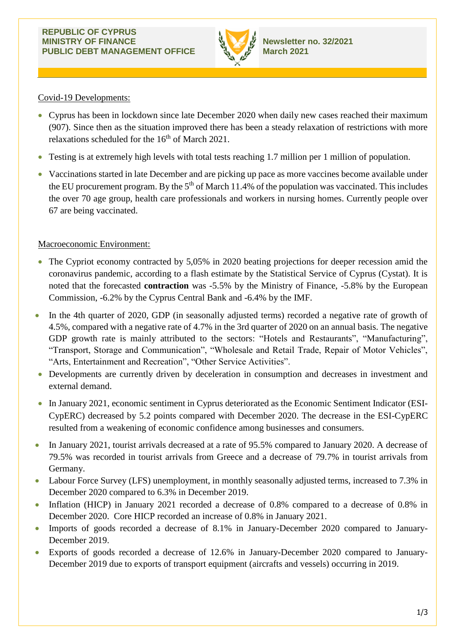

## Covid-19 Developments:

- Cyprus has been in lockdown since late December 2020 when daily new cases reached their maximum (907). Since then as the situation improved there has been a steady relaxation of restrictions with more relaxations scheduled for the 16<sup>th</sup> of March 2021.
- Testing is at extremely high levels with total tests reaching 1.7 million per 1 million of population.
- Vaccinations started in late December and are picking up pace as more vaccines become available under the EU procurement program. By the  $5<sup>th</sup>$  of March 11.4% of the population was vaccinated. This includes the over 70 age group, health care professionals and workers in nursing homes. Currently people over 67 are being vaccinated.

# Macroeconomic Environment:

- The Cypriot economy contracted by 5,05% in 2020 beating projections for deeper recession amid the coronavirus pandemic, according to a flash estimate by the Statistical Service of Cyprus (Cystat). It is noted that the forecasted **contraction** was -5.5% by the Ministry of Finance, -5.8% by the European Commission, -6.2% by the Cyprus Central Bank and -6.4% by the IMF.
- In the 4th quarter of 2020, GDP (in seasonally adjusted terms) recorded a negative rate of growth of 4.5%, compared with a negative rate of 4.7% in the 3rd quarter of 2020 on an annual basis. The negative GDP growth rate is mainly attributed to the sectors: "Hotels and Restaurants", "Manufacturing", "Transport, Storage and Communication", "Wholesale and Retail Trade, Repair of Motor Vehicles", "Arts, Entertainment and Recreation", "Other Service Activities".
- Developments are currently driven by deceleration in consumption and decreases in investment and external demand.
- In January 2021, economic sentiment in Cyprus deteriorated as the Economic Sentiment Indicator (ESI-CypERC) decreased by 5.2 points compared with December 2020. The decrease in the ESI-CypERC resulted from a weakening of economic confidence among businesses and consumers.
- In January 2021, tourist arrivals decreased at a rate of 95.5% compared to January 2020. A decrease of 79.5% was recorded in tourist arrivals from Greece and a decrease of 79.7% in tourist arrivals from Germany.
- Labour Force Survey (LFS) unemployment, in monthly seasonally adjusted terms, increased to 7.3% in December 2020 compared to 6.3% in December 2019.
- Inflation (HICP) in January 2021 recorded a decrease of 0.8% compared to a decrease of 0.8% in December 2020. Core HICP recorded an increase of 0.8% in January 2021.
- Imports of goods recorded a decrease of 8.1% in January-December 2020 compared to January-December 2019.
- Exports of goods recorded a decrease of 12.6% in January-December 2020 compared to January-December 2019 due to exports of transport equipment (aircrafts and vessels) occurring in 2019.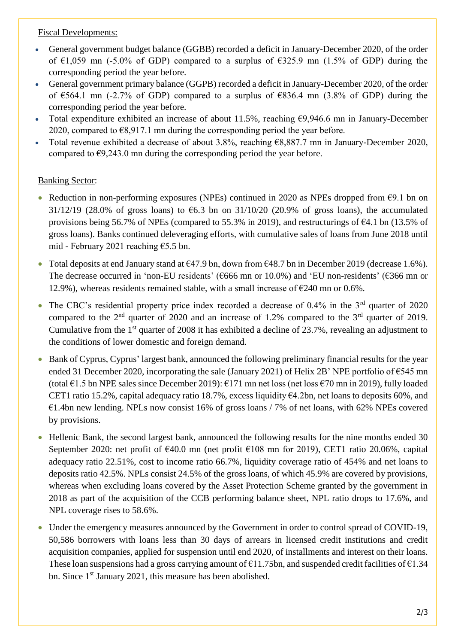### Fiscal Developments:

- General government budget balance (GGBB) recorded a deficit in January-December 2020, of the order of  $\epsilon$ 1,059 mn (-5.0% of GDP) compared to a surplus of  $\epsilon$ 325.9 mn (1.5% of GDP) during the corresponding period the year before.
- General government primary balance (GGPB) recorded a deficit in January-December 2020, of the order of  $\epsilon$ 564.1 mn (-2.7% of GDP) compared to a surplus of  $\epsilon$ 836.4 mn (3.8% of GDP) during the corresponding period the year before.
- Total expenditure exhibited an increase of about 11.5%, reaching €9,946.6 mn in January-December 2020, compared to  $\epsilon$ 8,917.1 mn during the corresponding period the year before.
- Total revenue exhibited a decrease of about 3.8%, reaching €8,887.7 mn in January-December 2020, compared to  $\epsilon$ 9,243.0 mn during the corresponding period the year before.

# Banking Sector:

- Reduction in non-performing exposures (NPEs) continued in 2020 as NPEs dropped from  $\epsilon$ 9.1 bn on 31/12/19 (28.0% of gross loans) to  $\epsilon$ 6.3 bn on 31/10/20 (20.9% of gross loans), the accumulated provisions being 56.7% of NPEs (compared to 55.3% in 2019), and restructurings of €4.1 bn (13.5% of gross loans). Banks continued deleveraging efforts, with cumulative sales of loans from June 2018 until mid - February 2021 reaching €5.5 bn.
- Total deposits at end January stand at  $\epsilon$ 47.9 bn, down from  $\epsilon$ 48.7 bn in December 2019 (decrease 1.6%). The decrease occurred in 'non-EU residents' (€666 mn or 10.0%) and 'EU non-residents' (€366 mn or 12.9%), whereas residents remained stable, with a small increase of  $\epsilon$ 240 mn or 0.6%.
- The CBC's residential property price index recorded a decrease of  $0.4\%$  in the  $3<sup>rd</sup>$  quarter of 2020 compared to the  $2<sup>nd</sup>$  quarter of 2020 and an increase of 1.2% compared to the  $3<sup>rd</sup>$  quarter of 2019. Cumulative from the  $1<sup>st</sup>$  quarter of 2008 it has exhibited a decline of 23.7%, revealing an adjustment to the conditions of lower domestic and foreign demand.
- Bank of Cyprus, Cyprus' largest bank, announced the following preliminary financial results for the year ended 31 December 2020, incorporating the sale (January 2021) of Helix 2B' NPE portfolio of  $\epsilon$ 545 mn (total €1.5 bn NPE sales since December 2019): €171 mn net loss (net loss €70 mn in 2019), fully loaded CET1 ratio 15.2%, capital adequacy ratio 18.7%, excess liquidity €4.2bn, net loans to deposits 60%, and  $\epsilon$ 1.4bn new lending. NPLs now consist 16% of gross loans / 7% of net loans, with 62% NPEs covered by provisions.
- Hellenic Bank, the second largest bank, announced the following results for the nine months ended 30 September 2020: net profit of €40.0 mn (net profit €108 mn for 2019), CET1 ratio 20.06%, capital adequacy ratio 22.51%, cost to income ratio 66.7%, liquidity coverage ratio of 454% and net loans to deposits ratio 42.5%. NPLs consist 24.5% of the gross loans, of which 45.9% are covered by provisions, whereas when excluding loans covered by the Asset Protection Scheme granted by the government in 2018 as part of the acquisition of the CCB performing balance sheet, NPL ratio drops to 17.6%, and NPL coverage rises to 58.6%.
- Under the emergency measures announced by the Government in order to control spread of COVID-19, 50,586 borrowers with loans less than 30 days of arrears in licensed credit institutions and credit acquisition companies, applied for suspension until end 2020, of installments and interest on their loans. These loan suspensions had a gross carrying amount of  $\epsilon$ 11.75bn, and suspended credit facilities of  $\epsilon$ 1.34 bn. Since 1<sup>st</sup> January 2021, this measure has been abolished.